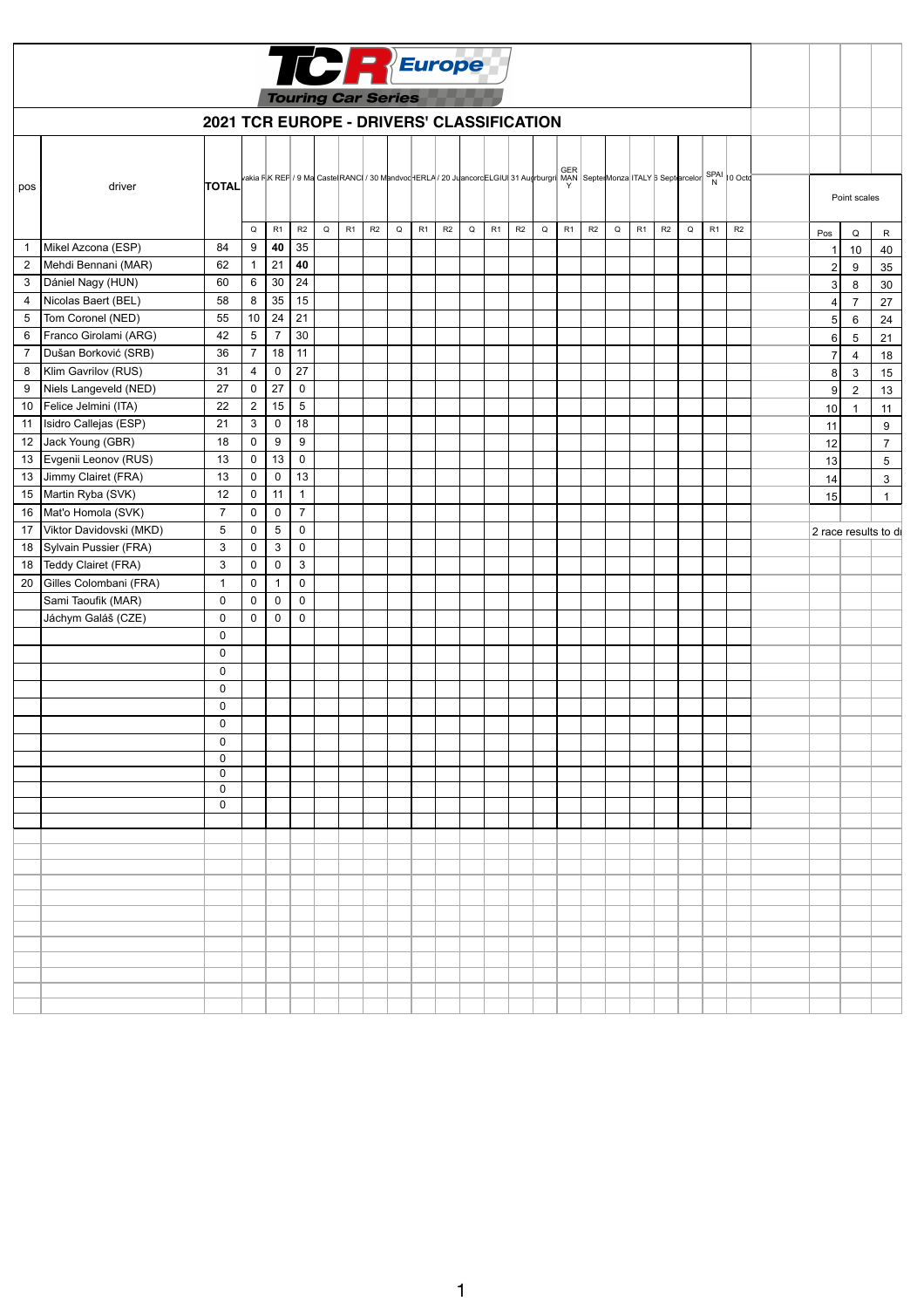| <b>TCREurope</b><br><b>Touring Car Series</b> |                            |                                           |                     |                  |                  |          |    |    |   |    |    |   |    |    |             |    |    |             |                                                                                                                                    |    |             |    |    |                |                |                      |
|-----------------------------------------------|----------------------------|-------------------------------------------|---------------------|------------------|------------------|----------|----|----|---|----|----|---|----|----|-------------|----|----|-------------|------------------------------------------------------------------------------------------------------------------------------------|----|-------------|----|----|----------------|----------------|----------------------|
|                                               |                            | 2021 TCR EUROPE - DRIVERS' CLASSIFICATION |                     |                  |                  |          |    |    |   |    |    |   |    |    |             |    |    |             |                                                                                                                                    |    |             |    |    |                |                |                      |
|                                               |                            |                                           |                     |                  |                  |          |    |    |   |    |    |   |    |    |             |    |    |             |                                                                                                                                    |    |             |    |    |                |                |                      |
| pos                                           | driver                     | <b>TOTAL</b>                              |                     |                  |                  |          |    |    |   |    |    |   |    |    |             |    |    |             | vakia RK REF / 9 Ma Caste RANC / 30 Mandvoc ERLA / 20 JuancorcELGIU 31 Augrburgri MAN Septe Monza ITALY 6 Septercelor SPAI 10 Octo |    |             |    |    |                | Point scales   |                      |
|                                               |                            |                                           | Q                   | R1               | R2               | $\Omega$ | R1 | R2 | Q | R1 | R2 | Q | R1 | R2 | $\mathsf Q$ | R1 | R2 | $\mathsf Q$ | R1                                                                                                                                 | R2 | $\mathsf Q$ | R1 | R2 | Pos            | Q              | $\mathsf{R}$         |
|                                               | Mikel Azcona (ESP)         | 84                                        | $\boldsymbol{9}$    | 40               | 35               |          |    |    |   |    |    |   |    |    |             |    |    |             |                                                                                                                                    |    |             |    |    |                | 10             | 40                   |
| $\overline{2}$                                | Mehdi Bennani (MAR)        | 62                                        | $\mathbf{1}$        | 21               | 40               |          |    |    |   |    |    |   |    |    |             |    |    |             |                                                                                                                                    |    |             |    |    | $\sqrt{2}$     | 9              | 35                   |
| 3                                             | Dániel Nagy (HUN)          | 60                                        | 6                   | 30               | 24               |          |    |    |   |    |    |   |    |    |             |    |    |             |                                                                                                                                    |    |             |    |    | 3              | 8              | 30                   |
| 4                                             | Nicolas Baert (BEL)        | 58                                        | $\bf 8$             | 35               | 15               |          |    |    |   |    |    |   |    |    |             |    |    |             |                                                                                                                                    |    |             |    |    | 4              | $\overline{7}$ | 27                   |
| 5                                             | Tom Coronel (NED)          | 55                                        | 10                  | 24               | 21               |          |    |    |   |    |    |   |    |    |             |    |    |             |                                                                                                                                    |    |             |    |    | 5 <sub>5</sub> | $\,6\,$        | 24                   |
| 6                                             | Franco Girolami (ARG)      | 42                                        | $\sqrt{5}$          | $\overline{7}$   | 30               |          |    |    |   |    |    |   |    |    |             |    |    |             |                                                                                                                                    |    |             |    |    | 6              | 5              | 21                   |
| $\overline{7}$                                | Dušan Borković (SRB)       | 36                                        | $\boldsymbol{7}$    | 18               | 11               |          |    |    |   |    |    |   |    |    |             |    |    |             |                                                                                                                                    |    |             |    |    | $\overline{7}$ | $\overline{4}$ | 18                   |
| 8                                             | Klim Gavrilov (RUS)        | 31                                        | $\overline{4}$      | $\pmb{0}$        | 27               |          |    |    |   |    |    |   |    |    |             |    |    |             |                                                                                                                                    |    |             |    |    | 8 <sup>1</sup> | $\mathbf{3}$   | 15                   |
| 9                                             | Niels Langeveld (NED)      | 27                                        | $\mathbf 0$         | 27               | $\mathbf 0$      |          |    |    |   |    |    |   |    |    |             |    |    |             |                                                                                                                                    |    |             |    |    | 9              | $\overline{2}$ | 13                   |
| 10                                            | Felice Jelmini (ITA)       | 22                                        | $\sqrt{2}$          | 15               | $\sqrt{5}$       |          |    |    |   |    |    |   |    |    |             |    |    |             |                                                                                                                                    |    |             |    |    | 10             |                | 11                   |
| 11                                            | Isidro Callejas (ESP)      | 21                                        | $\mathfrak{S}$      | $\boldsymbol{0}$ | 18               |          |    |    |   |    |    |   |    |    |             |    |    |             |                                                                                                                                    |    |             |    |    | 11             |                | 9                    |
| 12                                            | Jack Young (GBR)           | 18                                        | 0                   | 9                | $\boldsymbol{9}$ |          |    |    |   |    |    |   |    |    |             |    |    |             |                                                                                                                                    |    |             |    |    | 12             |                | $\overline{7}$       |
| 13                                            | Evgenii Leonov (RUS)       | 13                                        | $\pmb{0}$           | 13               | $\pmb{0}$        |          |    |    |   |    |    |   |    |    |             |    |    |             |                                                                                                                                    |    |             |    |    | 13             |                | $5\phantom{.0}$      |
| 13                                            | Jimmy Clairet (FRA)        | 13                                        | $\pmb{0}$           | $\pmb{0}$        | 13               |          |    |    |   |    |    |   |    |    |             |    |    |             |                                                                                                                                    |    |             |    |    | 14             |                | $\mathbf{3}$         |
| 15                                            | Martin Ryba (SVK)          | 12                                        | $\mathbf 0$         | 11               | $\mathbf{1}$     |          |    |    |   |    |    |   |    |    |             |    |    |             |                                                                                                                                    |    |             |    |    | 15             |                | -1                   |
| 16                                            | Mat'o Homola (SVK)         | $\overline{7}$                            | $\pmb{0}$           | $\pmb{0}$        | $\boldsymbol{7}$ |          |    |    |   |    |    |   |    |    |             |    |    |             |                                                                                                                                    |    |             |    |    |                |                |                      |
|                                               | 17 Viktor Davidovski (MKD) | 5                                         | $\mathsf{O}\xspace$ | 5                | $\mathbf 0$      |          |    |    |   |    |    |   |    |    |             |    |    |             |                                                                                                                                    |    |             |    |    |                |                | 2 race results to di |
| 18                                            | Sylvain Pussier (FRA)      | 3                                         | $\mathbf 0$         | $\mathbf{3}$     | $\mathbf 0$      |          |    |    |   |    |    |   |    |    |             |    |    |             |                                                                                                                                    |    |             |    |    |                |                |                      |
| 18                                            | Teddy Clairet (FRA)        | 3                                         | $\pmb{0}$           | $\pmb{0}$        | $\mathbf{3}$     |          |    |    |   |    |    |   |    |    |             |    |    |             |                                                                                                                                    |    |             |    |    |                |                |                      |
| 20                                            | Gilles Colombani (FRA)     | 1                                         | $\mathbf 0$         | $\mathbf{1}$     | $\mathbf 0$      |          |    |    |   |    |    |   |    |    |             |    |    |             |                                                                                                                                    |    |             |    |    |                |                |                      |
|                                               | Sami Taoufik (MAR)         | 0                                         | $\mathbf 0$         | $\mathbf 0$      | $\mathbf 0$      |          |    |    |   |    |    |   |    |    |             |    |    |             |                                                                                                                                    |    |             |    |    |                |                |                      |
|                                               | Jáchym Galáš (CZE)         | 0                                         | $\mathbf 0$         | $\pmb{0}$        | $\pmb{0}$        |          |    |    |   |    |    |   |    |    |             |    |    |             |                                                                                                                                    |    |             |    |    |                |                |                      |
|                                               |                            | $\mathbf 0$                               |                     |                  |                  |          |    |    |   |    |    |   |    |    |             |    |    |             |                                                                                                                                    |    |             |    |    |                |                |                      |
|                                               |                            | 0                                         |                     |                  |                  |          |    |    |   |    |    |   |    |    |             |    |    |             |                                                                                                                                    |    |             |    |    |                |                |                      |
|                                               |                            | 0                                         |                     |                  |                  |          |    |    |   |    |    |   |    |    |             |    |    |             |                                                                                                                                    |    |             |    |    |                |                |                      |
|                                               |                            | $\mathbf 0$                               |                     |                  |                  |          |    |    |   |    |    |   |    |    |             |    |    |             |                                                                                                                                    |    |             |    |    |                |                |                      |
|                                               |                            | 0                                         |                     |                  |                  |          |    |    |   |    |    |   |    |    |             |    |    |             |                                                                                                                                    |    |             |    |    |                |                |                      |
|                                               |                            | 0                                         |                     |                  |                  |          |    |    |   |    |    |   |    |    |             |    |    |             |                                                                                                                                    |    |             |    |    |                |                |                      |
|                                               |                            |                                           |                     |                  |                  |          |    |    |   |    |    |   |    |    |             |    |    |             |                                                                                                                                    |    |             |    |    |                |                |                      |
|                                               |                            | 0<br>$\mathbf 0$                          |                     |                  |                  |          |    |    |   |    |    |   |    |    |             |    |    |             |                                                                                                                                    |    |             |    |    |                |                |                      |
|                                               |                            | $\mathbf 0$                               |                     |                  |                  |          |    |    |   |    |    |   |    |    |             |    |    |             |                                                                                                                                    |    |             |    |    |                |                |                      |
|                                               |                            | 0                                         |                     |                  |                  |          |    |    |   |    |    |   |    |    |             |    |    |             |                                                                                                                                    |    |             |    |    |                |                |                      |
|                                               |                            | $\mathbf 0$                               |                     |                  |                  |          |    |    |   |    |    |   |    |    |             |    |    |             |                                                                                                                                    |    |             |    |    |                |                |                      |
|                                               |                            |                                           |                     |                  |                  |          |    |    |   |    |    |   |    |    |             |    |    |             |                                                                                                                                    |    |             |    |    |                |                |                      |
|                                               |                            |                                           |                     |                  |                  |          |    |    |   |    |    |   |    |    |             |    |    |             |                                                                                                                                    |    |             |    |    |                |                |                      |
|                                               |                            |                                           |                     |                  |                  |          |    |    |   |    |    |   |    |    |             |    |    |             |                                                                                                                                    |    |             |    |    |                |                |                      |
|                                               |                            |                                           |                     |                  |                  |          |    |    |   |    |    |   |    |    |             |    |    |             |                                                                                                                                    |    |             |    |    |                |                |                      |
|                                               |                            |                                           |                     |                  |                  |          |    |    |   |    |    |   |    |    |             |    |    |             |                                                                                                                                    |    |             |    |    |                |                |                      |
|                                               |                            |                                           |                     |                  |                  |          |    |    |   |    |    |   |    |    |             |    |    |             |                                                                                                                                    |    |             |    |    |                |                |                      |
|                                               |                            |                                           |                     |                  |                  |          |    |    |   |    |    |   |    |    |             |    |    |             |                                                                                                                                    |    |             |    |    |                |                |                      |
|                                               |                            |                                           |                     |                  |                  |          |    |    |   |    |    |   |    |    |             |    |    |             |                                                                                                                                    |    |             |    |    |                |                |                      |
|                                               |                            |                                           |                     |                  |                  |          |    |    |   |    |    |   |    |    |             |    |    |             |                                                                                                                                    |    |             |    |    |                |                |                      |
|                                               |                            |                                           |                     |                  |                  |          |    |    |   |    |    |   |    |    |             |    |    |             |                                                                                                                                    |    |             |    |    |                |                |                      |
|                                               |                            |                                           |                     |                  |                  |          |    |    |   |    |    |   |    |    |             |    |    |             |                                                                                                                                    |    |             |    |    |                |                |                      |